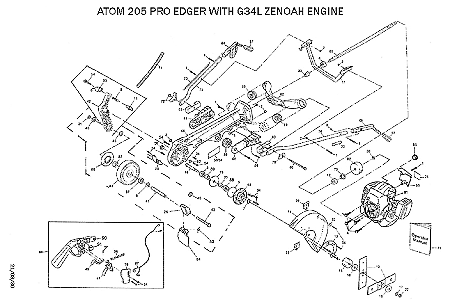## ATOM 205 PRO EDGER WITH G34L ZENOAH ENGINE



64-